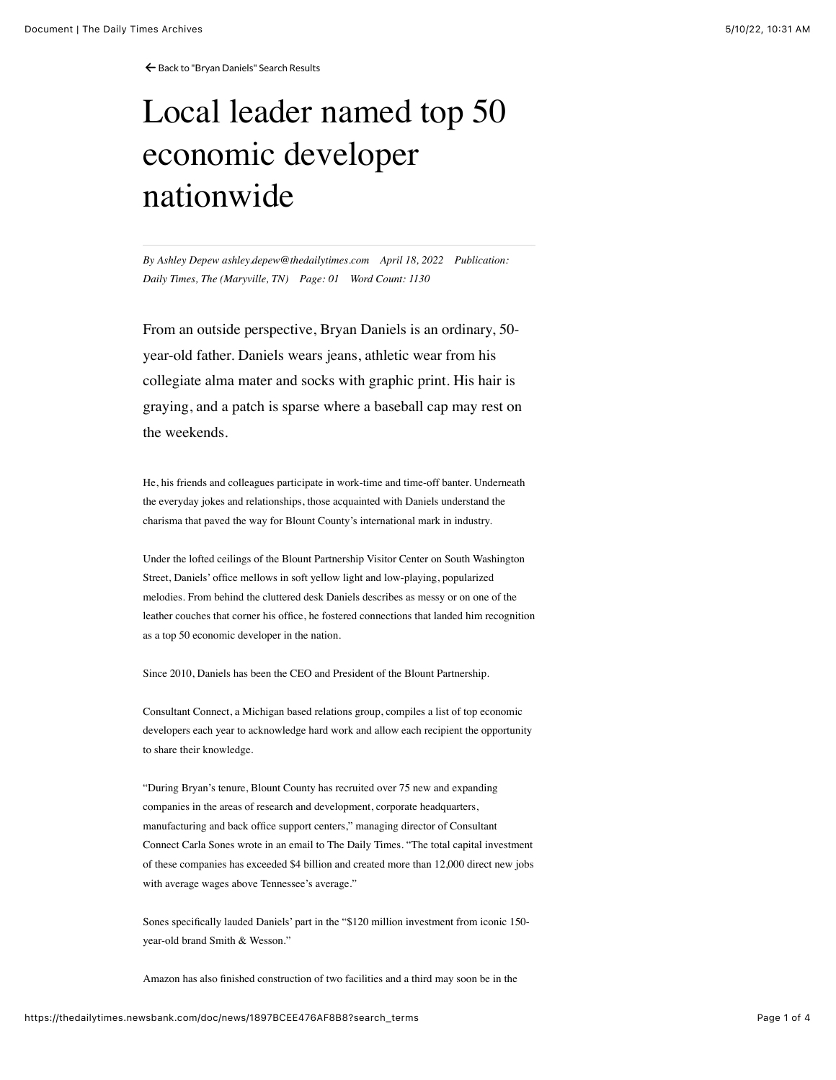← [Back to "Bryan Daniels" Search Results](https://thedailytimes.newsbank.com/search?text=Bryan%20daniels&pub%5B0%5D=MDTB)

# Local leader named top 50 economic developer nationwide

*By Ashley Depew ashley.depew@thedailytimes.com April 18, 2022 Publication: Daily Times, The (Maryville, TN) Page: 01 Word Count: 1130*

From an outside perspective, Bryan Daniels is an ordinary, 50 year-old father. Daniels wears jeans, athletic wear from his collegiate alma mater and socks with graphic print. His hair is graying, and a patch is sparse where a baseball cap may rest on the weekends.

He, his friends and colleagues participate in work-time and time-off banter. Underneath the everyday jokes and relationships, those acquainted with Daniels understand the charisma that paved the way for Blount County's international mark in industry.

Under the lofted ceilings of the Blount Partnership Visitor Center on South Washington Street, Daniels' office mellows in soft yellow light and low-playing, popularized melodies. From behind the cluttered desk Daniels describes as messy or on one of the leather couches that corner his office, he fostered connections that landed him recognition as a top 50 economic developer in the nation.

Since 2010, Daniels has been the CEO and President of the Blount Partnership.

Consultant Connect, a Michigan based relations group, compiles a list of top economic developers each year to acknowledge hard work and allow each recipient the opportunity to share their knowledge.

"During Bryan's tenure, Blount County has recruited over 75 new and expanding companies in the areas of research and development, corporate headquarters, manufacturing and back office support centers," managing director of Consultant Connect Carla Sones wrote in an email to The Daily Times. "The total capital investment of these companies has exceeded \$4 billion and created more than 12,000 direct new jobs with average wages above Tennessee's average."

Sones specifically lauded Daniels' part in the "\$120 million investment from iconic 150 year-old brand Smith & Wesson."

Amazon has also finished construction of two facilities and a third may soon be in the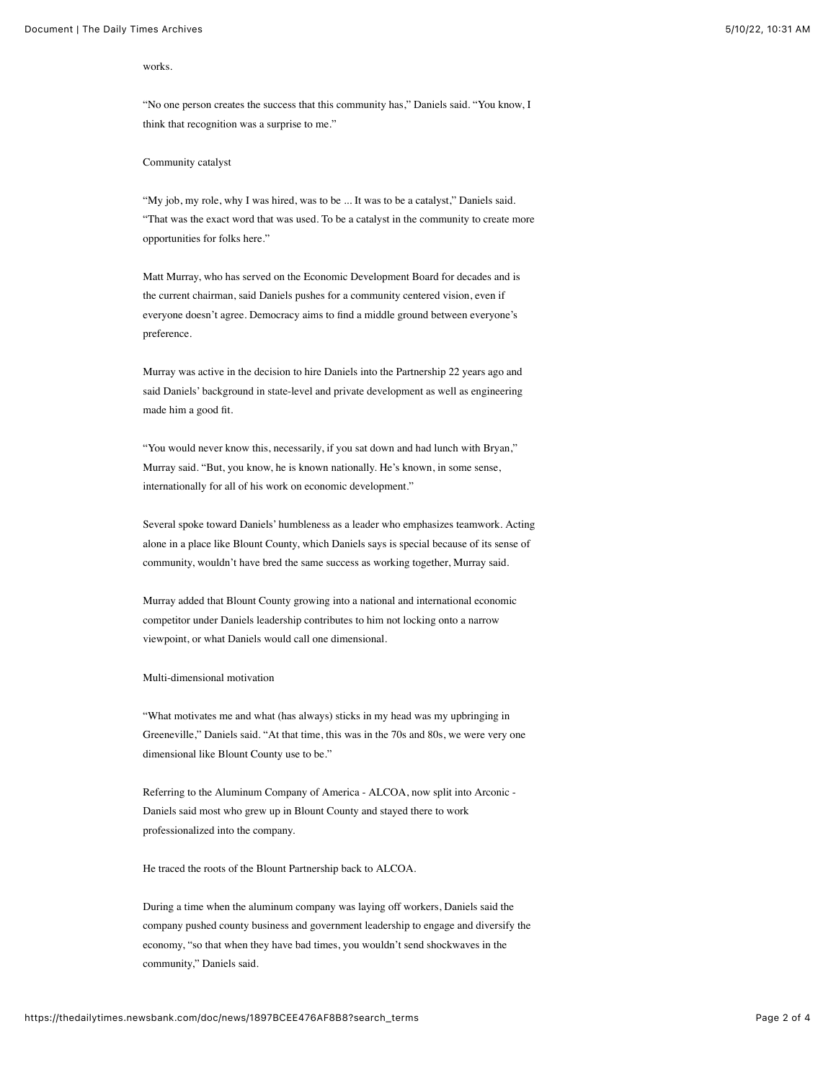#### works.

"No one person creates the success that this community has," Daniels said. "You know, I think that recognition was a surprise to me."

### Community catalyst

"My job, my role, why I was hired, was to be ... It was to be a catalyst," Daniels said. "That was the exact word that was used. To be a catalyst in the community to create more opportunities for folks here."

Matt Murray, who has served on the Economic Development Board for decades and is the current chairman, said Daniels pushes for a community centered vision, even if everyone doesn't agree. Democracy aims to find a middle ground between everyone's preference.

Murray was active in the decision to hire Daniels into the Partnership 22 years ago and said Daniels' background in state-level and private development as well as engineering made him a good fit.

"You would never know this, necessarily, if you sat down and had lunch with Bryan," Murray said. "But, you know, he is known nationally. He's known, in some sense, internationally for all of his work on economic development."

Several spoke toward Daniels' humbleness as a leader who emphasizes teamwork. Acting alone in a place like Blount County, which Daniels says is special because of its sense of community, wouldn't have bred the same success as working together, Murray said.

Murray added that Blount County growing into a national and international economic competitor under Daniels leadership contributes to him not locking onto a narrow viewpoint, or what Daniels would call one dimensional.

## Multi-dimensional motivation

"What motivates me and what (has always) sticks in my head was my upbringing in Greeneville," Daniels said. "At that time, this was in the 70s and 80s, we were very one dimensional like Blount County use to be."

Referring to the Aluminum Company of America - ALCOA, now split into Arconic - Daniels said most who grew up in Blount County and stayed there to work professionalized into the company.

He traced the roots of the Blount Partnership back to ALCOA.

During a time when the aluminum company was laying off workers, Daniels said the company pushed county business and government leadership to engage and diversify the economy, "so that when they have bad times, you wouldn't send shockwaves in the community," Daniels said.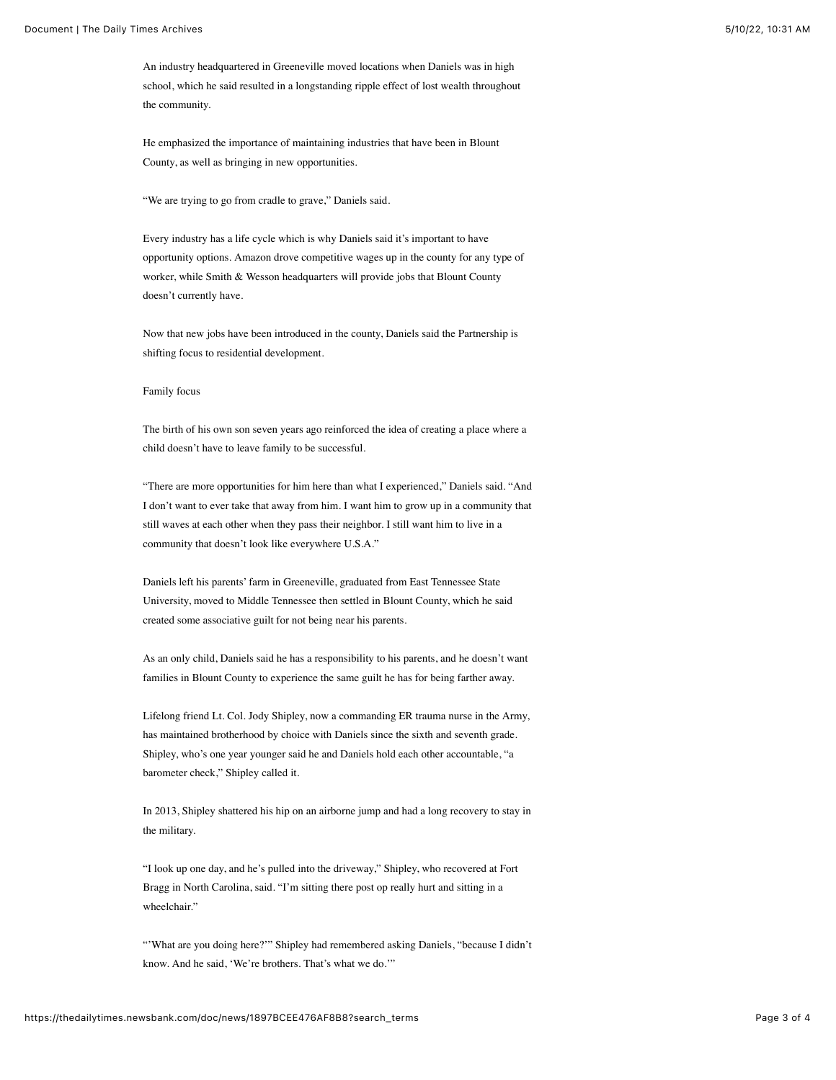An industry headquartered in Greeneville moved locations when Daniels was in high school, which he said resulted in a longstanding ripple effect of lost wealth throughout the community.

He emphasized the importance of maintaining industries that have been in Blount County, as well as bringing in new opportunities.

"We are trying to go from cradle to grave," Daniels said.

Every industry has a life cycle which is why Daniels said it's important to have opportunity options. Amazon drove competitive wages up in the county for any type of worker, while Smith & Wesson headquarters will provide jobs that Blount County doesn't currently have.

Now that new jobs have been introduced in the county, Daniels said the Partnership is shifting focus to residential development.

### Family focus

The birth of his own son seven years ago reinforced the idea of creating a place where a child doesn't have to leave family to be successful.

"There are more opportunities for him here than what I experienced," Daniels said. "And I don't want to ever take that away from him. I want him to grow up in a community that still waves at each other when they pass their neighbor. I still want him to live in a community that doesn't look like everywhere U.S.A."

Daniels left his parents' farm in Greeneville, graduated from East Tennessee State University, moved to Middle Tennessee then settled in Blount County, which he said created some associative guilt for not being near his parents.

As an only child, Daniels said he has a responsibility to his parents, and he doesn't want families in Blount County to experience the same guilt he has for being farther away.

Lifelong friend Lt. Col. Jody Shipley, now a commanding ER trauma nurse in the Army, has maintained brotherhood by choice with Daniels since the sixth and seventh grade. Shipley, who's one year younger said he and Daniels hold each other accountable, "a barometer check," Shipley called it.

In 2013, Shipley shattered his hip on an airborne jump and had a long recovery to stay in the military.

"I look up one day, and he's pulled into the driveway," Shipley, who recovered at Fort Bragg in North Carolina, said. "I'm sitting there post op really hurt and sitting in a wheelchair."

"'What are you doing here?'" Shipley had remembered asking Daniels, "because I didn't know. And he said, 'We're brothers. That's what we do.'"